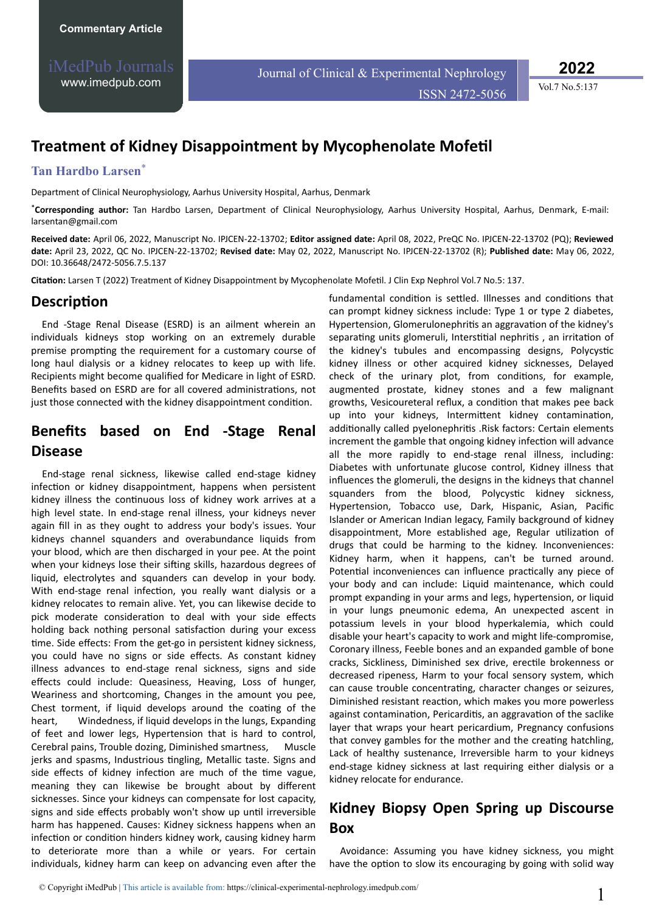iMedPub Journals [www.imedpub.com](http://www.imedpub.com/)

Journal of Clinical & Experimental Nephrology

ISSN 2472-5056 Vol.7 No.5:137

**2022**

# **Treatment of Kidney Disappointment by Mycophenolate Mofetil**

### **Tan Hardbo Larsen**\*

Department of Clinical Neurophysiology, Aarhus University Hospital, Aarhus, Denmark

\***Corresponding author:** Tan Hardbo Larsen, Department of Clinical Neurophysiology, Aarhus University Hospital, Aarhus, Denmark, E-mail: [larsentan@gmail.com](mailto:larsentan@gmail.com)

**Received date:** April 06, 2022, Manuscript No. IPJCEN-22-13702; **Editor assigned date:** April 08, 2022, PreQC No. IPJCEN-22-13702 (PQ); **Reviewed date:** April 23, 2022, QC No. IPJCEN-22-13702; **Revised date:** May 02, 2022, Manuscript No. IPJCEN-22-13702 (R); **Published date:** May 06, 2022, DOI: 10.36648/2472-5056.7.5.137

Citation: Larsen T (2022) Treatment of Kidney Disappointment by Mycophenolate Mofetil. J Clin Exp Nephrol Vol.7 No.5: 137.

#### **Description**

End -Stage Renal Disease (ESRD) is an ailment wherein an individuals kidneys stop working on an extremely durable premise prompting the requirement for a customary course of long haul dialysis or a kidney relocates to keep up with life. Recipients might become qualified for Medicare in light of ESRD. Benefits based on ESRD are for all covered administrations, not just those connected with the kidney disappointment condition.

## **Benefits based on End -Stage Renal Disease**

End-stage renal sickness, likewise called end-stage kidney infection or kidney disappointment, happens when persistent kidney illness the continuous loss of kidney work arrives at a high level state. In end-stage renal illness, your kidneys never again fill in as they ought to address your body's issues. Your kidneys channel squanders and overabundance liquids from your blood, which are then discharged in your pee. At the point when your kidneys lose their sifting skills, hazardous degrees of liquid, electrolytes and squanders can develop in your body. With end-stage renal infection, you really want dialysis or a kidney relocates to remain alive. Yet, you can likewise decide to pick moderate consideration to deal with your side effects holding back nothing personal satisfaction during your excess time. Side effects: From the get-go in persistent kidney sickness, you could have no signs or side effects. As constant kidney illness advances to end-stage renal sickness, signs and side effects could include: Queasiness, Heaving, Loss of hunger, Weariness and shortcoming, Changes in the amount you pee, Chest torment, if liquid develops around the coating of the heart, Windedness, if liquid develops in the lungs, Expanding of feet and lower legs, Hypertension that is hard to control, Cerebral pains, Trouble dozing, Diminished smartness, Muscle jerks and spasms, Industrious tingling, Metallic taste. Signs and side effects of kidney infection are much of the time vague, meaning they can likewise be brought about by different sicknesses. Since your kidneys can compensate for lost capacity, signs and side effects probably won't show up until irreversible harm has happened. Causes: Kidney sickness happens when an infection or condition hinders kidney work, causing kidney harm to deteriorate more than a while or years. For certain individuals, kidney harm can keep on advancing even after the fundamental condition is settled. Illnesses and conditions that can prompt kidney sickness include: Type 1 or type 2 diabetes, Hypertension, Glomerulonephritis an aggravation of the kidney's separating units glomeruli, Interstitial nephritis, an irritation of the kidney's tubules and encompassing designs, Polycystic kidney illness or other acquired kidney sicknesses, Delayed check of the urinary plot, from conditions, for example, augmented prostate, kidney stones and a few malignant growths, Vesicoureteral reflux, a condition that makes pee back up into your kidneys, Intermittent kidney contamination, additionally called pyelonephritis .Risk factors: Certain elements increment the gamble that ongoing kidney infection will advance all the more rapidly to end-stage renal illness, including: Diabetes with unfortunate glucose control, Kidney illness that influences the glomeruli, the designs in the kidneys that channel squanders from the blood, Polycystic kidney sickness, Hypertension, Tobacco use, Dark, Hispanic, Asian, Pacific Islander or American Indian legacy, Family background of kidney disappointment, More established age, Regular utilization of drugs that could be harming to the kidney. Inconveniences: Kidney harm, when it happens, can't be turned around. Potential inconveniences can influence practically any piece of your body and can include: Liquid maintenance, which could prompt expanding in your arms and legs, hypertension, or liquid in your lungs pneumonic edema, An unexpected ascent in potassium levels in your blood hyperkalemia, which could disable your heart's capacity to work and might life-compromise, Coronary illness, Feeble bones and an expanded gamble of bone cracks, Sickliness, Diminished sex drive, erectile brokenness or decreased ripeness, Harm to your focal sensory system, which can cause trouble concentrating, character changes or seizures, Diminished resistant reaction, which makes you more powerless against contamination, Pericarditis, an aggravation of the saclike layer that wraps your heart pericardium, Pregnancy confusions that convey gambles for the mother and the creating hatchling, Lack of healthy sustenance, Irreversible harm to your kidneys end-stage kidney sickness at last requiring either dialysis or a kidney relocate for endurance.

## **Kidney Biopsy Open Spring up Discourse Box**

Avoidance: Assuming you have kidney sickness, you might have the option to slow its encouraging by going with solid way